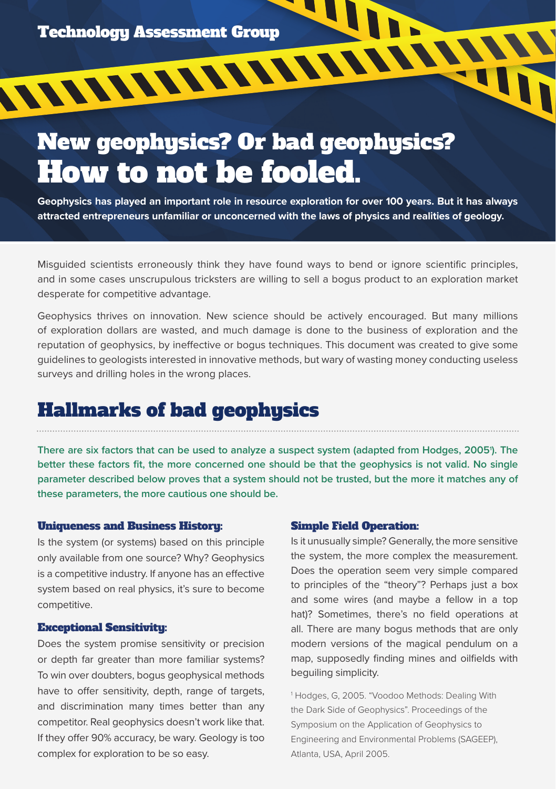# New geophysics? Or bad geophysics? How to not be fooled.

**Geophysics has played an important role in resource exploration for over 100 years. But it has always attracted entrepreneurs unfamiliar or unconcerned with the laws of physics and realities of geology.** 

Misguided scientists erroneously think they have found ways to bend or ignore scientific principles, and in some cases unscrupulous tricksters are willing to sell a bogus product to an exploration market desperate for competitive advantage.

Geophysics thrives on innovation. New science should be actively encouraged. But many millions of exploration dollars are wasted, and much damage is done to the business of exploration and the reputation of geophysics, by ineffective or bogus techniques. This document was created to give some guidelines to geologists interested in innovative methods, but wary of wasting money conducting useless surveys and drilling holes in the wrong places.

## Hallmarks of bad geophysics

**There are six factors that can be used to analyze a suspect system (adapted from Hodges, 20051 ). The better these factors fit, the more concerned one should be that the geophysics is not valid. No single parameter described below proves that a system should not be trusted, but the more it matches any of these parameters, the more cautious one should be.**

#### Uniqueness and Business History:

Is the system (or systems) based on this principle only available from one source? Why? Geophysics is a competitive industry. If anyone has an effective system based on real physics, it's sure to become competitive.

#### Exceptional Sensitivity:

Does the system promise sensitivity or precision or depth far greater than more familiar systems? To win over doubters, bogus geophysical methods have to offer sensitivity, depth, range of targets, and discrimination many times better than any competitor. Real geophysics doesn't work like that. If they offer 90% accuracy, be wary. Geology is too complex for exploration to be so easy.

#### Simple Field Operation:

Is it unusually simple? Generally, the more sensitive the system, the more complex the measurement. Does the operation seem very simple compared to principles of the "theory"? Perhaps just a box and some wires (and maybe a fellow in a top hat)? Sometimes, there's no field operations at all. There are many bogus methods that are only modern versions of the magical pendulum on a map, supposedly finding mines and oilfields with beguiling simplicity.

1 Hodges, G, 2005. "Voodoo Methods: Dealing With the Dark Side of Geophysics". Proceedings of the Symposium on the Application of Geophysics to Engineering and Environmental Problems (SAGEEP), Atlanta, USA, April 2005.